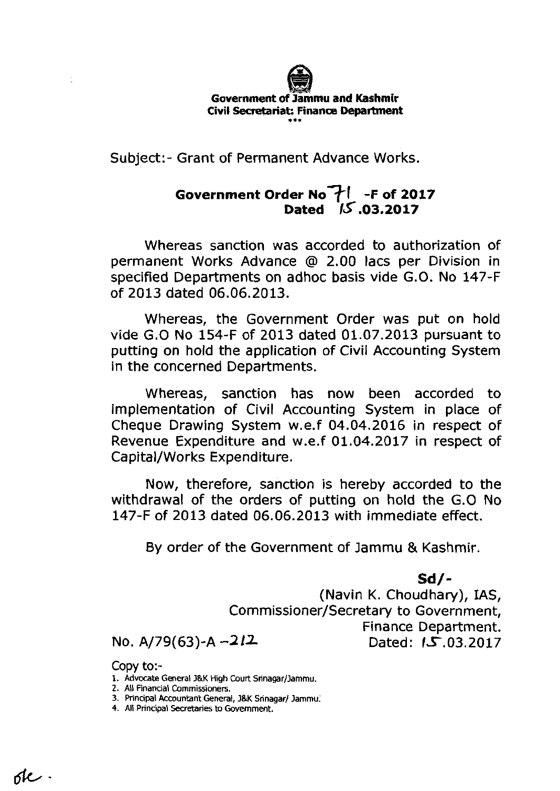

Subject:- Grant of Permanent Advance Works.

## **Government Order NOTI -F of <sup>2017</sup> Dated 15.03.2017**

Whereas sanction was accorded to authorization of permanent Works Advance @ 2.00 lacs per Division in specified Departments on adhoc basis vide G.O. No 147-F of 2013 dated 06.06.2013.

Whereas, the Government Order was put on hold vide **G.0** No 154-F of 2013 dated 01.07.2013 pursuant to putting on hold the application of Civil Accounting System in the concerned Departments.

Whereas, sanction has now been accorded to implementation of Civil Accounting System in place of Cheque Drawing System w.e.f 04.04.2016 in respect of Revenue Expenditure and w.e.f 01.04.2017 in respect of Capital/Works Expenditure.

Now, therefore, sanction is hereby accorded to the withdrawal of the orders of putting on hold the G.0 No 147-F of 2013 dated 06.06.2013 with immediate effect.

By order of the Government of Jammu & Kashmir.

**Sd/-** 

(Navin K. Choudhary), IAS, Commissioner/Secretary to Government, Finance Department. No. A/79(63)-A -212 **Dated: 15.03.2017** 

Copy t0:-

- 1. Advocate General J&K High Court Srinagar/Jammu.
- 2. All Financial Commissioners.
- 3. Principal Accountant General, J&K Sninagar/ Jammu.
- 4. All Principal Secretaries to Government.